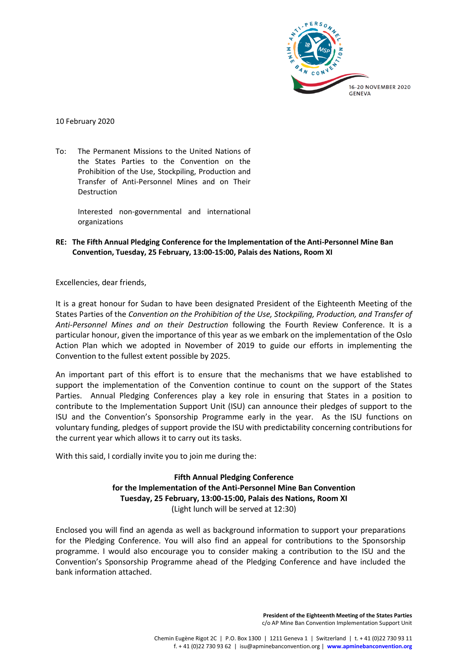

10 February 2020

To: The Permanent Missions to the United Nations of the States Parties to the Convention on the Prohibition of the Use, Stockpiling, Production and Transfer of Anti-Personnel Mines and on Their Destruction

> Interested non-governmental and international organizations

**RE: The Fifth Annual Pledging Conference for the Implementation of the Anti-Personnel Mine Ban Convention, Tuesday, 25 February, 13:00-15:00, Palais des Nations, Room XI**

Excellencies, dear friends,

It is a great honour for Sudan to have been designated President of the Eighteenth Meeting of the States Parties of the *Convention on the Prohibition of the Use, Stockpiling, Production, and Transfer of Anti-Personnel Mines and on their Destruction* following the Fourth Review Conference. It is a particular honour, given the importance of this year as we embark on the implementation of the Oslo Action Plan which we adopted in November of 2019 to guide our efforts in implementing the Convention to the fullest extent possible by 2025.

An important part of this effort is to ensure that the mechanisms that we have established to support the implementation of the Convention continue to count on the support of the States Parties. Annual Pledging Conferences play a key role in ensuring that States in a position to contribute to the Implementation Support Unit (ISU) can announce their pledges of support to the ISU and the Convention's Sponsorship Programme early in the year. As the ISU functions on voluntary funding, pledges of support provide the ISU with predictability concerning contributions for the current year which allows it to carry out its tasks.

With this said, I cordially invite you to join me during the:

**Fifth Annual Pledging Conference for the Implementation of the Anti-Personnel Mine Ban Convention Tuesday, 25 February, 13:00-15:00, Palais des Nations, Room XI** (Light lunch will be served at 12:30)

Enclosed you will find an agenda as well as background information to support your preparations for the Pledging Conference. You will also find an appeal for contributions to the Sponsorship programme. I would also encourage you to consider making a contribution to the ISU and the Convention's Sponsorship Programme ahead of the Pledging Conference and have included the bank information attached.

> **President of the Eighteenth Meeting of the States Parties**  c/o AP Mine Ban Convention Implementation Support Unit